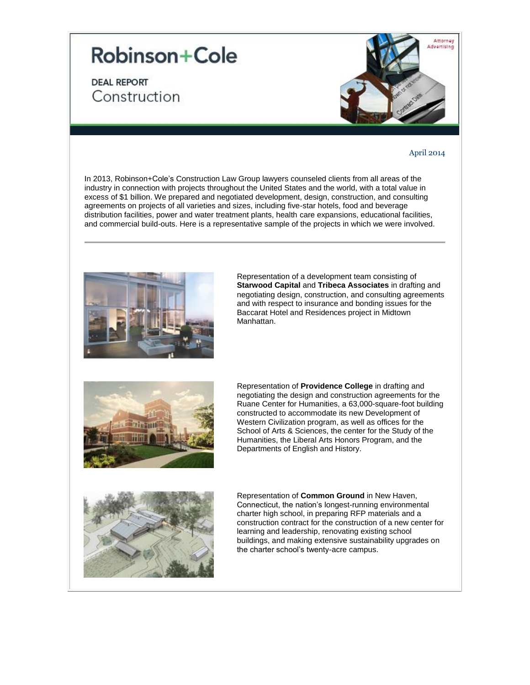## **Robinson+Cole**

**DEAL REPORT** Construction



## April 2014

In 2013, Robinson+Cole's Construction Law Group lawyers counseled clients from all areas of the industry in connection with projects throughout the United States and the world, with a total value in excess of \$1 billion. We prepared and negotiated development, design, construction, and consulting agreements on projects of all varieties and sizes, including five-star hotels, food and beverage distribution facilities, power and water treatment plants, health care expansions, educational facilities, and commercial build-outs. Here is a representative sample of the projects in which we were involved.



Representation of a development team consisting of **Starwood Capital** and **Tribeca Associates** in drafting and negotiating design, construction, and consulting agreements and with respect to insurance and bonding issues for the Baccarat Hotel and Residences project in Midtown Manhattan.



Representation of **Providence College** in drafting and negotiating the design and construction agreements for the Ruane Center for Humanities, a 63,000-square-foot building constructed to accommodate its new Development of Western Civilization program, as well as offices for the School of Arts & Sciences, the center for the Study of the Humanities, the Liberal Arts Honors Program, and the Departments of English and History.



Representation of **Common Ground** in New Haven, Connecticut, the nation's longest-running environmental charter high school, in preparing RFP materials and a construction contract for the construction of a new center for learning and leadership, renovating existing school buildings, and making extensive sustainability upgrades on the charter school's twenty-acre campus.